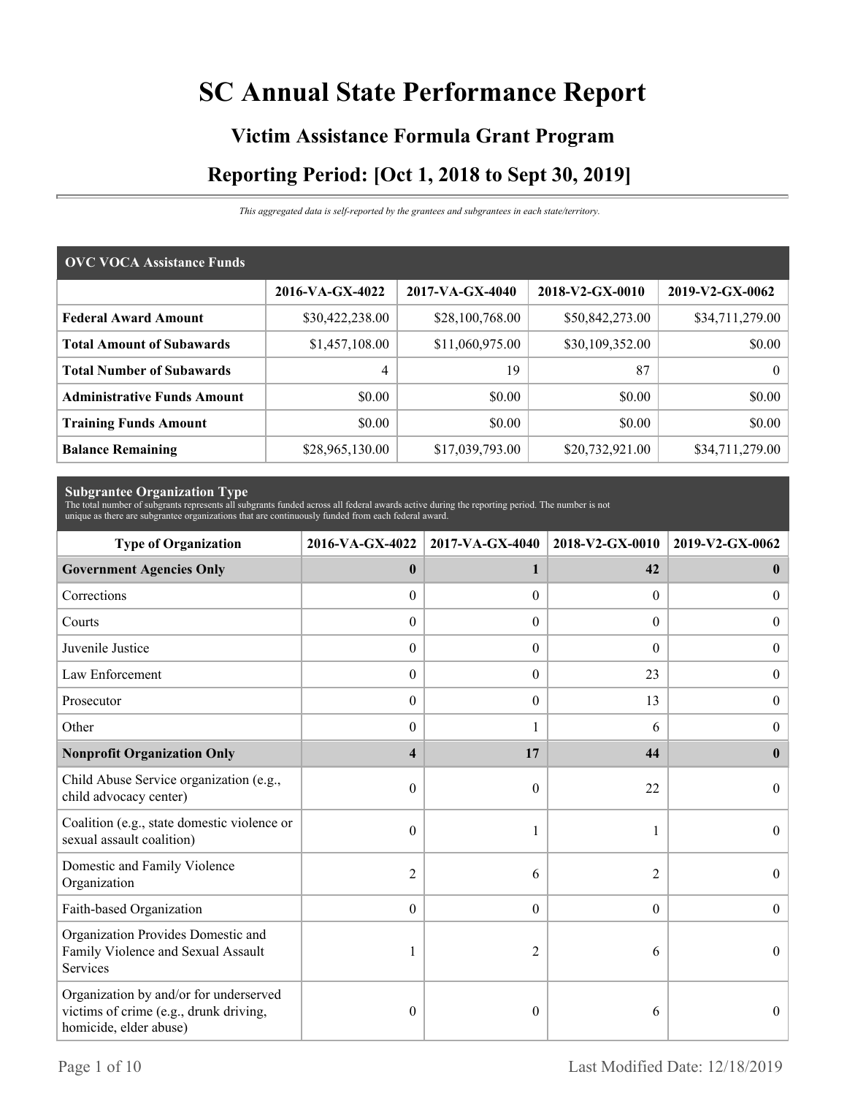# **SC Annual State Performance Report**

# **Victim Assistance Formula Grant Program Reporting Period: [Oct 1, 2018 to Sept 30, 2019]**

*This aggregated data is self-reported by the grantees and subgrantees in each state/territory.*

| <b>OVC VOCA Assistance Funds</b>   |                 |                 |                 |                 |  |  |  |
|------------------------------------|-----------------|-----------------|-----------------|-----------------|--|--|--|
|                                    | 2016-VA-GX-4022 | 2017-VA-GX-4040 | 2018-V2-GX-0010 | 2019-V2-GX-0062 |  |  |  |
| <b>Federal Award Amount</b>        | \$30,422,238.00 | \$28,100,768.00 | \$50,842,273.00 | \$34,711,279.00 |  |  |  |
| <b>Total Amount of Subawards</b>   | \$1,457,108.00  | \$11,060,975.00 | \$30,109,352.00 | \$0.00          |  |  |  |
| <b>Total Number of Subawards</b>   | 4               | 19              | 87              | $\theta$        |  |  |  |
| <b>Administrative Funds Amount</b> | \$0.00          | \$0.00          | \$0.00          | \$0.00          |  |  |  |
| <b>Training Funds Amount</b>       | \$0.00          | \$0.00          | \$0.00          | \$0.00          |  |  |  |
| <b>Balance Remaining</b>           | \$28,965,130.00 | \$17,039,793.00 | \$20,732,921.00 | \$34,711,279.00 |  |  |  |

**Subgrantee Organization Type** The total number of subgrants represents all subgrants funded across all federal awards active during the reporting period. The number is not unique as there are subgrantee organizations that are continuously funded from each federal award.

| <b>Type of Organization</b>                                                                                | 2016-VA-GX-4022         | 2017-VA-GX-4040  | 2018-V2-GX-0010  | 2019-V2-GX-0062  |  |
|------------------------------------------------------------------------------------------------------------|-------------------------|------------------|------------------|------------------|--|
| <b>Government Agencies Only</b>                                                                            | $\bf{0}$                | 1                | 42               | $\bf{0}$         |  |
| Corrections                                                                                                | $\boldsymbol{0}$        | $\Omega$         | $\overline{0}$   | $\overline{0}$   |  |
| Courts                                                                                                     | $\boldsymbol{0}$        | $\theta$         | $\Omega$         | $\mathbf{0}$     |  |
| Juvenile Justice                                                                                           | $\boldsymbol{0}$        | $\boldsymbol{0}$ | $\boldsymbol{0}$ | $\boldsymbol{0}$ |  |
| Law Enforcement                                                                                            | $\boldsymbol{0}$        | $\theta$         | 23               | $\boldsymbol{0}$ |  |
| Prosecutor                                                                                                 | $\theta$                | $\theta$         | 13               | $\boldsymbol{0}$ |  |
| Other                                                                                                      | $\theta$                |                  | 6                | $\overline{0}$   |  |
| <b>Nonprofit Organization Only</b>                                                                         | $\overline{\mathbf{4}}$ | 17               | 44               | $\mathbf{0}$     |  |
| Child Abuse Service organization (e.g.,<br>child advocacy center)                                          | $\boldsymbol{0}$        | $\theta$         | 22               | $\Omega$         |  |
| Coalition (e.g., state domestic violence or<br>sexual assault coalition)                                   | $\mathbf{0}$            |                  |                  | $\theta$         |  |
| Domestic and Family Violence<br>Organization                                                               | $\overline{2}$          | 6                | $\overline{2}$   | $\boldsymbol{0}$ |  |
| Faith-based Organization                                                                                   | $\theta$                | $\theta$         | $\theta$         | $\theta$         |  |
| Organization Provides Domestic and<br>Family Violence and Sexual Assault<br>Services                       |                         | 2                | 6                | $\theta$         |  |
| Organization by and/or for underserved<br>victims of crime (e.g., drunk driving,<br>homicide, elder abuse) | $\theta$                | $\theta$         | 6                | $\theta$         |  |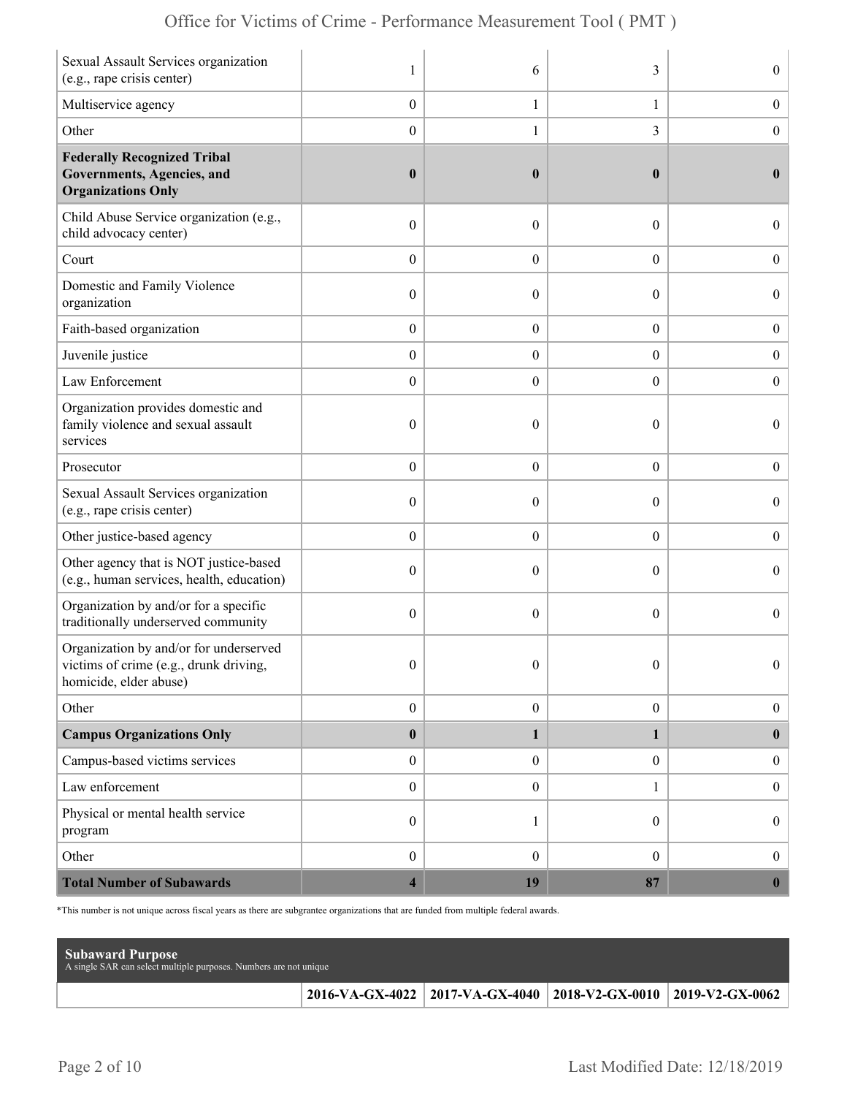| Sexual Assault Services organization<br>(e.g., rape crisis center)                                         | 1                       | 6                | 3                | $\boldsymbol{0}$ |
|------------------------------------------------------------------------------------------------------------|-------------------------|------------------|------------------|------------------|
| Multiservice agency                                                                                        | $\boldsymbol{0}$        | $\mathbf{1}$     | $\mathbf{1}$     | $\boldsymbol{0}$ |
| Other                                                                                                      | $\boldsymbol{0}$        | 1                | 3                | $\boldsymbol{0}$ |
| <b>Federally Recognized Tribal</b><br><b>Governments, Agencies, and</b><br><b>Organizations Only</b>       | $\boldsymbol{0}$        | $\boldsymbol{0}$ | $\bf{0}$         | $\bf{0}$         |
| Child Abuse Service organization (e.g.,<br>child advocacy center)                                          | $\boldsymbol{0}$        | $\mathbf{0}$     | $\theta$         | $\overline{0}$   |
| Court                                                                                                      | $\boldsymbol{0}$        | $\theta$         | $\overline{0}$   | $\overline{0}$   |
| Domestic and Family Violence<br>organization                                                               | $\boldsymbol{0}$        | $\theta$         | $\boldsymbol{0}$ | $\boldsymbol{0}$ |
| Faith-based organization                                                                                   | $\boldsymbol{0}$        | $\boldsymbol{0}$ | $\boldsymbol{0}$ | $\boldsymbol{0}$ |
| Juvenile justice                                                                                           | $\boldsymbol{0}$        | $\overline{0}$   | $\overline{0}$   | $\boldsymbol{0}$ |
| Law Enforcement                                                                                            | $\boldsymbol{0}$        | $\boldsymbol{0}$ | $\boldsymbol{0}$ | $\boldsymbol{0}$ |
| Organization provides domestic and<br>family violence and sexual assault<br>services                       | $\boldsymbol{0}$        | $\mathbf{0}$     | $\theta$         | $\overline{0}$   |
| Prosecutor                                                                                                 | $\boldsymbol{0}$        | $\theta$         | $\boldsymbol{0}$ | $\boldsymbol{0}$ |
| Sexual Assault Services organization<br>(e.g., rape crisis center)                                         | $\boldsymbol{0}$        | $\theta$         | $\theta$         | $\boldsymbol{0}$ |
| Other justice-based agency                                                                                 | $\boldsymbol{0}$        | $\boldsymbol{0}$ | $\boldsymbol{0}$ | $\boldsymbol{0}$ |
| Other agency that is NOT justice-based<br>(e.g., human services, health, education)                        | $\boldsymbol{0}$        | $\theta$         | $\theta$         | $\overline{0}$   |
| Organization by and/or for a specific<br>traditionally underserved community                               | $\boldsymbol{0}$        | $\theta$         | $\theta$         | $\overline{0}$   |
| Organization by and/or for underserved<br>victims of crime (e.g., drunk driving,<br>homicide, elder abuse) | $\boldsymbol{0}$        | $\boldsymbol{0}$ | $\boldsymbol{0}$ | $\Omega$         |
| Other                                                                                                      | $\boldsymbol{0}$        | $\boldsymbol{0}$ | $\boldsymbol{0}$ | $\boldsymbol{0}$ |
| <b>Campus Organizations Only</b>                                                                           | $\pmb{0}$               | 1                | 1                | $\bf{0}$         |
| Campus-based victims services                                                                              | $\boldsymbol{0}$        | $\overline{0}$   | $\overline{0}$   | $\boldsymbol{0}$ |
| Law enforcement                                                                                            | $\boldsymbol{0}$        | $\overline{0}$   | 1                | $\boldsymbol{0}$ |
| Physical or mental health service<br>program                                                               | $\boldsymbol{0}$        | 1                | $\overline{0}$   | $\boldsymbol{0}$ |
| Other                                                                                                      | $\boldsymbol{0}$        | $\mathbf{0}$     | $\overline{0}$   | $\mathbf{0}$     |
| <b>Total Number of Subawards</b>                                                                           | $\overline{\mathbf{4}}$ | 19               | 87               | $\boldsymbol{0}$ |

\*This number is not unique across fiscal years as there are subgrantee organizations that are funded from multiple federal awards.

| <b>Subaward Purpose</b><br>A single SAR can select multiple purposes. Numbers are not unique |                                                                 |  |
|----------------------------------------------------------------------------------------------|-----------------------------------------------------------------|--|
|                                                                                              | 2016-VA-GX-4022 2017-VA-GX-4040 2018-V2-GX-0010 2019-V2-GX-0062 |  |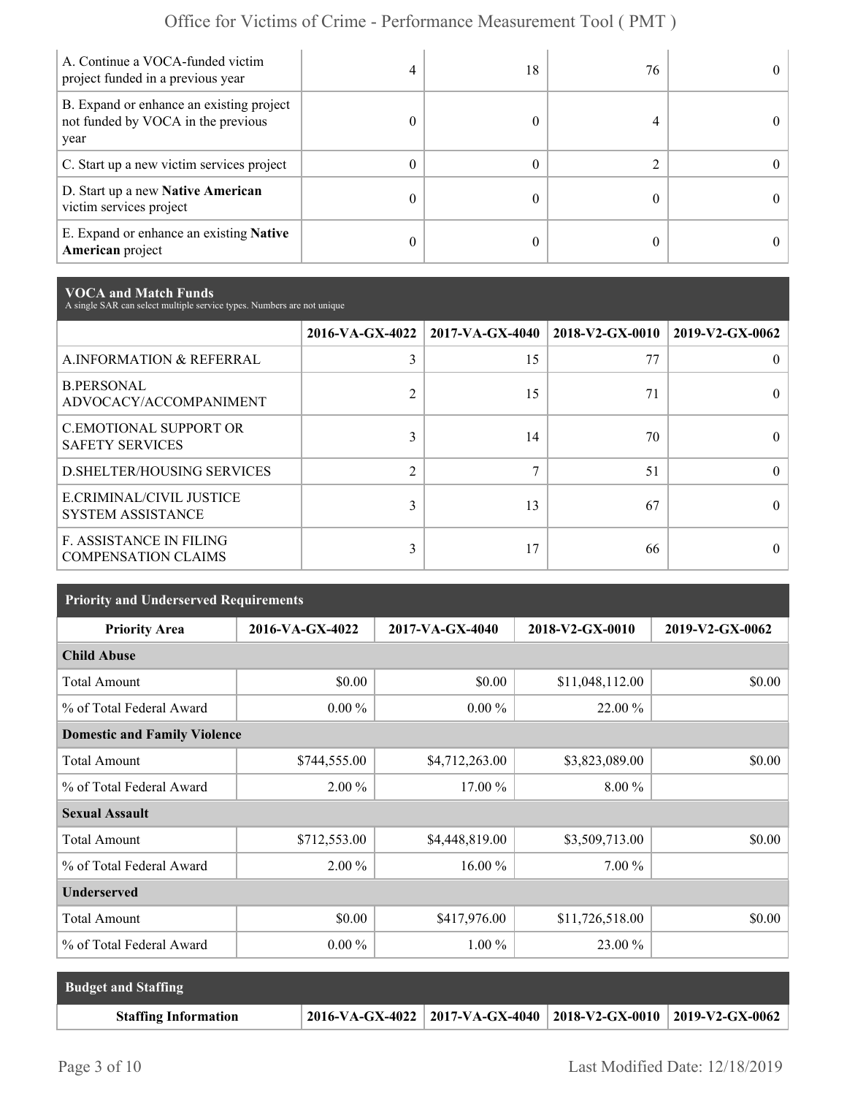| A. Continue a VOCA-funded victim<br>project funded in a previous year                  | 4 | 18 | 76 | 0  |
|----------------------------------------------------------------------------------------|---|----|----|----|
| B. Expand or enhance an existing project<br>not funded by VOCA in the previous<br>year |   |    |    |    |
| C. Start up a new victim services project                                              | 0 |    |    | 0. |
| D. Start up a new Native American<br>victim services project                           | 0 |    |    | 0. |
| E. Expand or enhance an existing <b>Native</b><br>American project                     | 0 |    |    |    |

**VOCA and Match Funds** A single SAR can select multiple service types. Numbers are not unique

|                                                              |                | 2016-VA-GX-4022   2017-VA-GX-4040   2018-V2-GX-0010 |    | 2019-V2-GX-0062 |
|--------------------------------------------------------------|----------------|-----------------------------------------------------|----|-----------------|
| A.INFORMATION & REFERRAL                                     | 3              | 15                                                  | 77 |                 |
| <b>B.PERSONAL</b><br>ADVOCACY/ACCOMPANIMENT                  | $\overline{2}$ | 15                                                  | 71 |                 |
| <b>C.EMOTIONAL SUPPORT OR</b><br><b>SAFETY SERVICES</b>      | 3              | 14                                                  | 70 |                 |
| <b>D.SHELTER/HOUSING SERVICES</b>                            | $\overline{2}$ | $\mathbf{r}$                                        | 51 |                 |
| E.CRIMINAL/CIVIL JUSTICE<br><b>SYSTEM ASSISTANCE</b>         | 3              | 13                                                  | 67 |                 |
| <b>F. ASSISTANCE IN FILING</b><br><b>COMPENSATION CLAIMS</b> | 3              | 17                                                  | 66 |                 |

| <b>Priority and Underserved Requirements</b> |                 |                 |                 |                 |  |  |  |
|----------------------------------------------|-----------------|-----------------|-----------------|-----------------|--|--|--|
| <b>Priority Area</b>                         | 2016-VA-GX-4022 | 2017-VA-GX-4040 | 2018-V2-GX-0010 | 2019-V2-GX-0062 |  |  |  |
| <b>Child Abuse</b>                           |                 |                 |                 |                 |  |  |  |
| <b>Total Amount</b>                          | \$0.00          | \$0.00          | \$11,048,112.00 | \$0.00          |  |  |  |
| % of Total Federal Award                     | $0.00\%$        | $0.00 \%$       | 22.00 %         |                 |  |  |  |
| <b>Domestic and Family Violence</b>          |                 |                 |                 |                 |  |  |  |
| <b>Total Amount</b>                          | \$744,555.00    | \$4,712,263.00  | \$3,823,089.00  | \$0.00          |  |  |  |
| % of Total Federal Award                     | $2.00\%$        | 17.00 %         | $8.00\%$        |                 |  |  |  |
| <b>Sexual Assault</b>                        |                 |                 |                 |                 |  |  |  |
| <b>Total Amount</b>                          | \$712,553.00    | \$4,448,819.00  | \$3,509,713.00  | \$0.00          |  |  |  |
| % of Total Federal Award                     | $2.00\%$        | 16.00 %         | 7.00 %          |                 |  |  |  |
| <b>Underserved</b>                           |                 |                 |                 |                 |  |  |  |
| <b>Total Amount</b>                          | \$0.00          | \$417,976.00    | \$11,726,518.00 | \$0.00          |  |  |  |
| % of Total Federal Award                     | $0.00\%$        | $1.00\%$        | 23.00 %         |                 |  |  |  |

| <b>Budget and Staffing</b>  |                                                                          |  |
|-----------------------------|--------------------------------------------------------------------------|--|
| <b>Staffing Information</b> | $2016\text{-VA-GX-4022}$ 2017-VA-GX-4040 2018-V2-GX-0010 2019-V2-GX-0062 |  |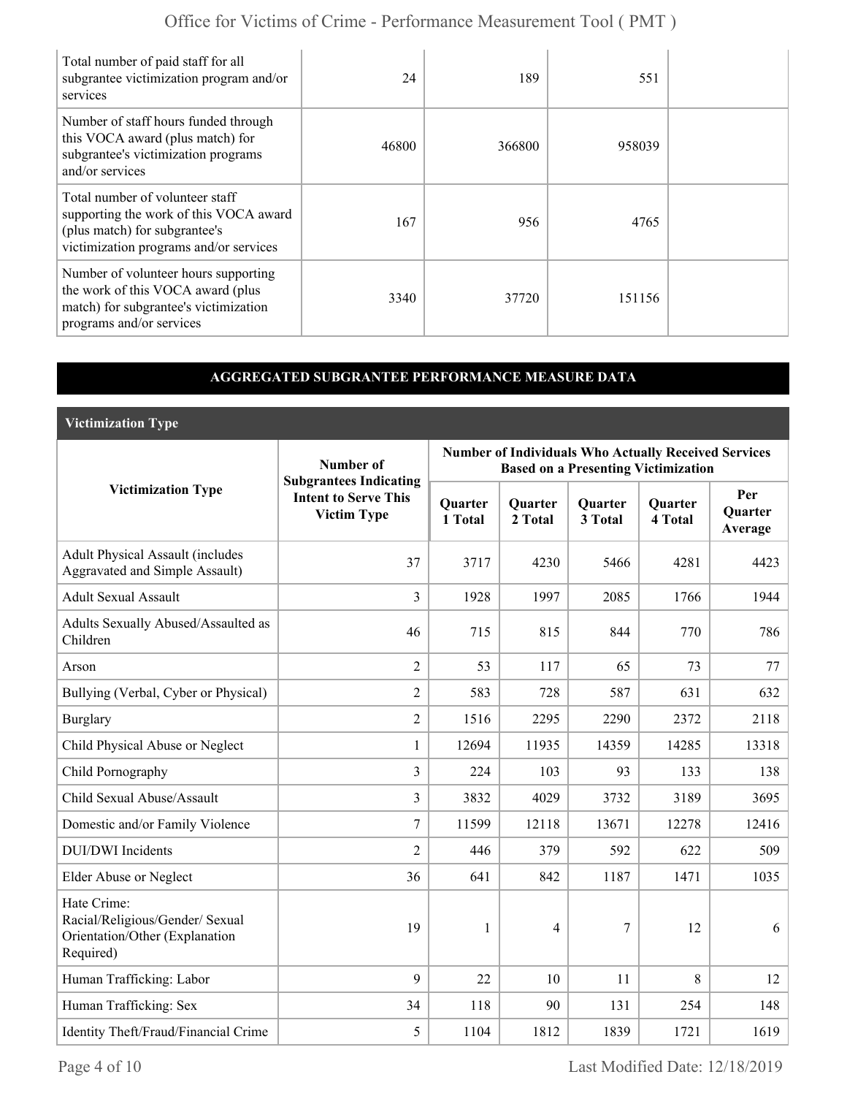| Total number of paid staff for all<br>subgrantee victimization program and/or<br>services                                                            | 24    | 189    | 551    |  |
|------------------------------------------------------------------------------------------------------------------------------------------------------|-------|--------|--------|--|
| Number of staff hours funded through<br>this VOCA award (plus match) for<br>subgrantee's victimization programs<br>and/or services                   | 46800 | 366800 | 958039 |  |
| Total number of volunteer staff<br>supporting the work of this VOCA award<br>(plus match) for subgrantee's<br>victimization programs and/or services | 167   | 956    | 4765   |  |
| Number of volunteer hours supporting<br>the work of this VOCA award (plus<br>match) for subgrantee's victimization<br>programs and/or services       | 3340  | 37720  | 151156 |  |

## **AGGREGATED SUBGRANTEE PERFORMANCE MEASURE DATA**

**Victimization Type**

|                                                                                               | Number of                                                                          | <b>Number of Individuals Who Actually Received Services</b><br><b>Based on a Presenting Victimization</b> |                    |                    |                           |                                  |  |
|-----------------------------------------------------------------------------------------------|------------------------------------------------------------------------------------|-----------------------------------------------------------------------------------------------------------|--------------------|--------------------|---------------------------|----------------------------------|--|
| <b>Victimization Type</b>                                                                     | <b>Subgrantees Indicating</b><br><b>Intent to Serve This</b><br><b>Victim Type</b> | <b>Quarter</b><br>1 Total                                                                                 | Quarter<br>2 Total | Quarter<br>3 Total | <b>Quarter</b><br>4 Total | Per<br><b>Ouarter</b><br>Average |  |
| <b>Adult Physical Assault (includes</b><br>Aggravated and Simple Assault)                     | 37                                                                                 | 3717                                                                                                      | 4230               | 5466               | 4281                      | 4423                             |  |
| <b>Adult Sexual Assault</b>                                                                   | $\overline{3}$                                                                     | 1928                                                                                                      | 1997               | 2085               | 1766                      | 1944                             |  |
| Adults Sexually Abused/Assaulted as<br>Children                                               | 46                                                                                 | 715                                                                                                       | 815                | 844                | 770                       | 786                              |  |
| Arson                                                                                         | $\overline{2}$                                                                     | 53                                                                                                        | 117                | 65                 | 73                        | 77                               |  |
| Bullying (Verbal, Cyber or Physical)                                                          | $\overline{2}$                                                                     | 583                                                                                                       | 728                | 587                | 631                       | 632                              |  |
| <b>Burglary</b>                                                                               | $\overline{2}$                                                                     | 1516                                                                                                      | 2295               | 2290               | 2372                      | 2118                             |  |
| Child Physical Abuse or Neglect                                                               | $\mathbf{1}$                                                                       | 12694                                                                                                     | 11935              | 14359              | 14285                     | 13318                            |  |
| Child Pornography                                                                             | $\overline{3}$                                                                     | 224                                                                                                       | 103                | 93                 | 133                       | 138                              |  |
| Child Sexual Abuse/Assault                                                                    | $\overline{3}$                                                                     | 3832                                                                                                      | 4029               | 3732               | 3189                      | 3695                             |  |
| Domestic and/or Family Violence                                                               | 7                                                                                  | 11599                                                                                                     | 12118              | 13671              | 12278                     | 12416                            |  |
| <b>DUI/DWI</b> Incidents                                                                      | $\overline{2}$                                                                     | 446                                                                                                       | 379                | 592                | 622                       | 509                              |  |
| Elder Abuse or Neglect                                                                        | 36                                                                                 | 641                                                                                                       | 842                | 1187               | 1471                      | 1035                             |  |
| Hate Crime:<br>Racial/Religious/Gender/ Sexual<br>Orientation/Other (Explanation<br>Required) | 19                                                                                 | 1                                                                                                         | $\overline{4}$     | $\overline{7}$     | 12                        | 6                                |  |
| Human Trafficking: Labor                                                                      | $\mathfrak{g}$                                                                     | 22                                                                                                        | 10                 | 11                 | 8                         | 12                               |  |
| Human Trafficking: Sex                                                                        | 34                                                                                 | 118                                                                                                       | 90                 | 131                | 254                       | 148                              |  |
| Identity Theft/Fraud/Financial Crime                                                          | 5                                                                                  | 1104                                                                                                      | 1812               | 1839               | 1721                      | 1619                             |  |

Page 4 of 10 Last Modified Date: 12/18/2019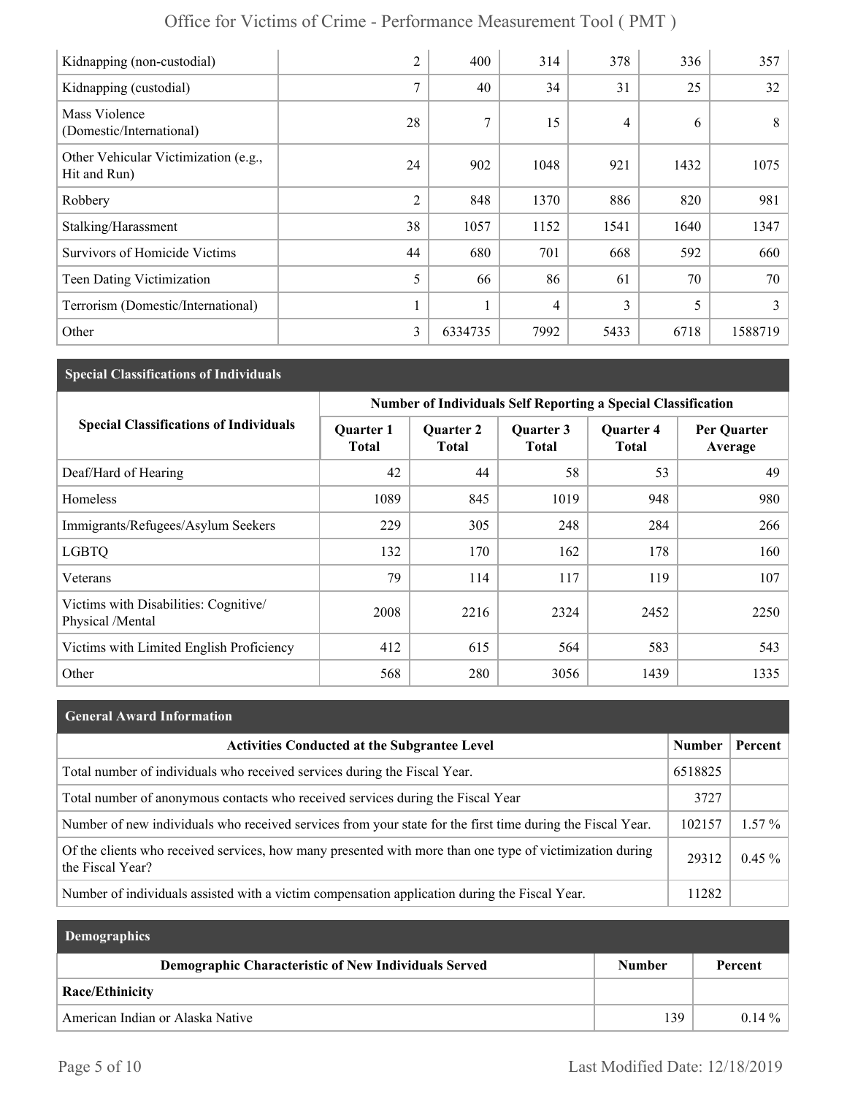| Office for Victims of Crime - Performance Measurement Tool (PMT) |                |      |      |      |      |      |
|------------------------------------------------------------------|----------------|------|------|------|------|------|
| Kidnapping (non-custodial)                                       | $\overline{2}$ | 400  | 314  | 378  | 336  | 357  |
| Kidnapping (custodial)                                           | 7              | 40   | 34   | 31   | 25   | 32   |
| Mass Violence<br>(Domestic/International)                        | 28             | 7    | 15   | 4    | 6    | 8    |
| Other Vehicular Victimization (e.g.,<br>Hit and Run)             | 24             | 902  | 1048 | 921  | 1432 | 1075 |
| Robbery                                                          | 2              | 848  | 1370 | 886  | 820  | 981  |
| Stalking/Harassment                                              | 38             | 1057 | 1152 | 1541 | 1640 | 1347 |
| <b>Survivors of Homicide Victims</b>                             | 44             | 680  | 701  | 668  | 592  | 660  |
| Teen Dating Victimization                                        | 5              | 66   | 86   | 61   | 70   | 70   |

Terrorism (Domestic/International)  $\begin{vmatrix} 1 & 1 & 4 & 3 & 5 & 3 \end{vmatrix}$  3

Other 3 6334735 7992 5433 6718 1588719

## **Special Classifications of Individuals**

|                                                           | Number of Individuals Self Reporting a Special Classification |                                  |                    |                                  |                        |  |
|-----------------------------------------------------------|---------------------------------------------------------------|----------------------------------|--------------------|----------------------------------|------------------------|--|
| <b>Special Classifications of Individuals</b>             | <b>Quarter 1</b><br>Total                                     | <b>Quarter 2</b><br><b>Total</b> | Quarter 3<br>Total | <b>Quarter 4</b><br><b>Total</b> | Per Quarter<br>Average |  |
| Deaf/Hard of Hearing                                      | 42                                                            | 44                               | 58                 | 53                               | 49                     |  |
| Homeless                                                  | 1089                                                          | 845                              | 1019               | 948                              | 980                    |  |
| Immigrants/Refugees/Asylum Seekers                        | 229                                                           | 305                              | 248                | 284                              | 266                    |  |
| <b>LGBTQ</b>                                              | 132                                                           | 170                              | 162                | 178                              | 160                    |  |
| Veterans                                                  | 79                                                            | 114                              | 117                | 119                              | 107                    |  |
| Victims with Disabilities: Cognitive/<br>Physical /Mental | 2008                                                          | 2216                             | 2324               | 2452                             | 2250                   |  |
| Victims with Limited English Proficiency                  | 412                                                           | 615                              | 564                | 583                              | 543                    |  |
| Other                                                     | 568                                                           | 280                              | 3056               | 1439                             | 1335                   |  |

# **General Award Information** Activities Conducted at the Subgrantee Level **Number | Percent** | Number | Percent Total number of individuals who received services during the Fiscal Year. 6518825 Total number of anonymous contacts who received services during the Fiscal Year 3727 Number of new individuals who received services from your state for the first time during the Fiscal Year.  $\vert$  102157  $\vert$  1.57 % Of the clients who received services, how many presented with more than one type of victimization during  $29312 \mid 0.45 \%$ Number of individuals assisted with a victim compensation application during the Fiscal Year. 11282

| <b>Demographics</b>                                  |               |          |
|------------------------------------------------------|---------------|----------|
| Demographic Characteristic of New Individuals Served | <b>Number</b> | Percent  |
| Race/Ethinicity                                      |               |          |
| American Indian or Alaska Native                     | 139           | $0.14\%$ |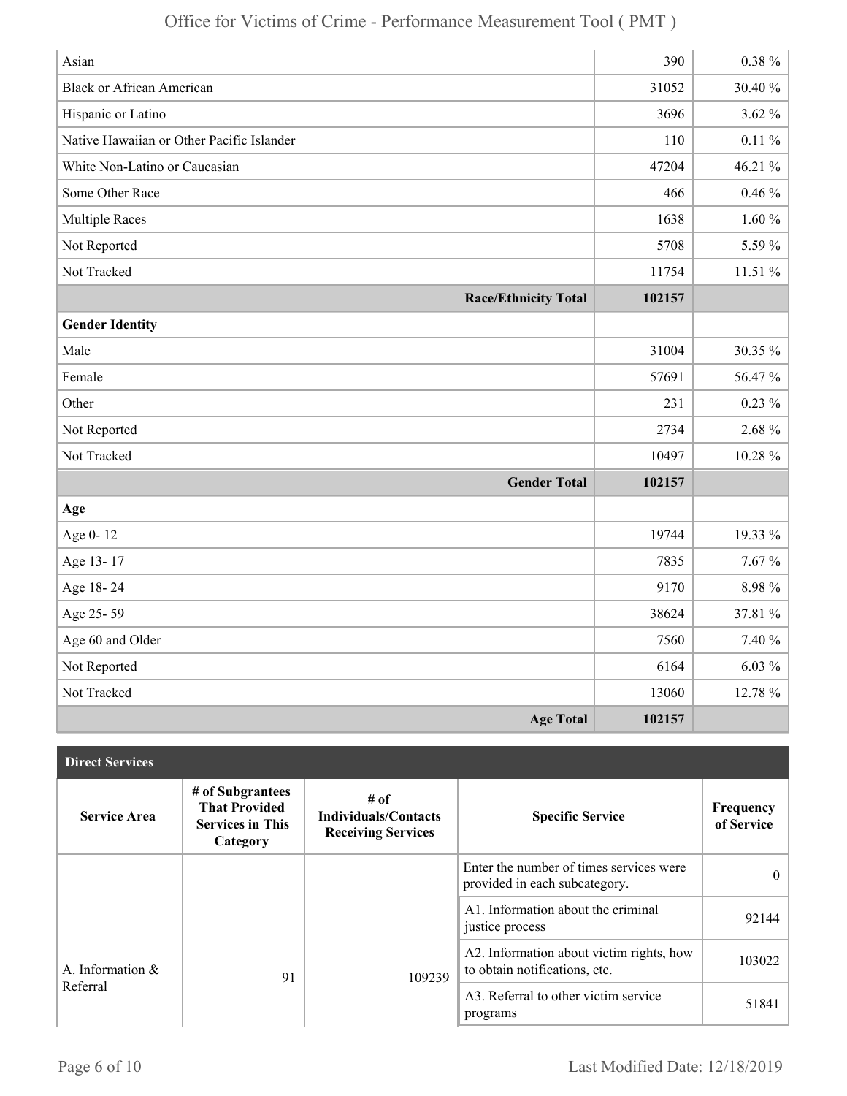| Asian                                     | 390    | $0.38 \%$ |
|-------------------------------------------|--------|-----------|
| <b>Black or African American</b>          | 31052  | 30.40 %   |
| Hispanic or Latino                        | 3696   | $3.62\%$  |
| Native Hawaiian or Other Pacific Islander | 110    | $0.11~\%$ |
| White Non-Latino or Caucasian             | 47204  | 46.21 %   |
| Some Other Race                           | 466    | $0.46\%$  |
| <b>Multiple Races</b>                     | 1638   | $1.60\%$  |
| Not Reported                              | 5708   | 5.59%     |
| Not Tracked                               | 11754  | 11.51 %   |
| <b>Race/Ethnicity Total</b>               | 102157 |           |
| <b>Gender Identity</b>                    |        |           |
| Male                                      | 31004  | 30.35 %   |
| Female                                    | 57691  | 56.47%    |
| Other                                     | 231    | $0.23\%$  |
| Not Reported                              | 2734   | 2.68%     |
| Not Tracked                               | 10497  | 10.28 %   |
| <b>Gender Total</b>                       | 102157 |           |
| Age                                       |        |           |
| Age 0-12                                  | 19744  | 19.33 %   |
| Age 13-17                                 | 7835   | $7.67\%$  |
| Age 18-24                                 | 9170   | 8.98%     |
| Age 25-59                                 | 38624  | 37.81 %   |
| Age 60 and Older                          | 7560   | 7.40 %    |
| Not Reported                              | 6164   | $6.03\%$  |
| Not Tracked                               | 13060  | 12.78 %   |
| <b>Age Total</b>                          | 102157 |           |

| <b>Direct Services</b> |                                                                                 |                                                                    |                                                                           |                         |
|------------------------|---------------------------------------------------------------------------------|--------------------------------------------------------------------|---------------------------------------------------------------------------|-------------------------|
| <b>Service Area</b>    | # of Subgrantees<br><b>That Provided</b><br><b>Services in This</b><br>Category | $#$ of<br><b>Individuals/Contacts</b><br><b>Receiving Services</b> | <b>Specific Service</b>                                                   | Frequency<br>of Service |
|                        |                                                                                 |                                                                    | Enter the number of times services were<br>provided in each subcategory.  | $\theta$                |
|                        |                                                                                 |                                                                    | A1. Information about the criminal<br>justice process                     | 92144                   |
| A. Information &       | 91                                                                              | 109239                                                             | A2. Information about victim rights, how<br>to obtain notifications, etc. | 103022                  |
| Referral               |                                                                                 |                                                                    | A3. Referral to other victim service<br>programs                          | 51841                   |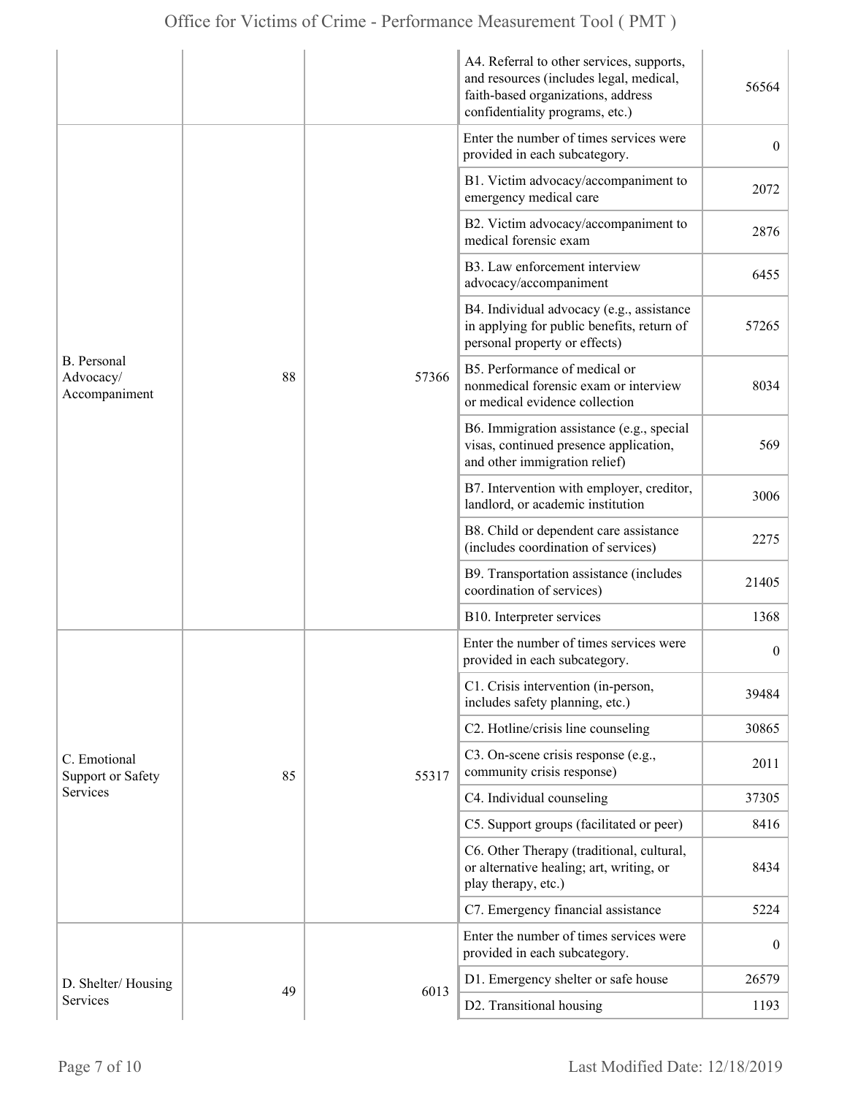|                                                  |    |             | A4. Referral to other services, supports,<br>and resources (includes legal, medical,<br>faith-based organizations, address<br>confidentiality programs, etc.) | 56564            |
|--------------------------------------------------|----|-------------|---------------------------------------------------------------------------------------------------------------------------------------------------------------|------------------|
| <b>B.</b> Personal<br>Advocacy/<br>Accompaniment |    | 88<br>57366 | Enter the number of times services were<br>provided in each subcategory.                                                                                      | $\overline{0}$   |
|                                                  |    |             | B1. Victim advocacy/accompaniment to<br>emergency medical care                                                                                                | 2072             |
|                                                  |    |             | B2. Victim advocacy/accompaniment to<br>medical forensic exam                                                                                                 | 2876             |
|                                                  |    |             | B3. Law enforcement interview<br>advocacy/accompaniment                                                                                                       | 6455             |
|                                                  |    |             | B4. Individual advocacy (e.g., assistance<br>in applying for public benefits, return of<br>personal property or effects)                                      | 57265            |
|                                                  |    |             | B5. Performance of medical or<br>nonmedical forensic exam or interview<br>or medical evidence collection                                                      | 8034             |
|                                                  |    |             | B6. Immigration assistance (e.g., special<br>visas, continued presence application,<br>and other immigration relief)                                          | 569              |
|                                                  |    |             | B7. Intervention with employer, creditor,<br>landlord, or academic institution                                                                                | 3006             |
|                                                  |    |             | B8. Child or dependent care assistance<br>(includes coordination of services)                                                                                 | 2275             |
|                                                  |    |             | B9. Transportation assistance (includes<br>coordination of services)                                                                                          | 21405            |
|                                                  |    |             | B10. Interpreter services                                                                                                                                     | 1368             |
|                                                  |    |             | Enter the number of times services were<br>provided in each subcategory.                                                                                      | $\boldsymbol{0}$ |
|                                                  |    |             | C1. Crisis intervention (in-person,<br>includes safety planning, etc.)                                                                                        | 39484            |
| C. Emotional<br><b>Support or Safety</b>         |    | 55317       | C2. Hotline/crisis line counseling                                                                                                                            | 30865            |
|                                                  | 85 |             | C3. On-scene crisis response (e.g.,<br>community crisis response)                                                                                             | 2011             |
| Services                                         |    |             | C4. Individual counseling                                                                                                                                     | 37305            |
|                                                  |    |             | C5. Support groups (facilitated or peer)                                                                                                                      | 8416             |
|                                                  |    |             | C6. Other Therapy (traditional, cultural,<br>or alternative healing; art, writing, or<br>play therapy, etc.)                                                  | 8434             |
|                                                  |    |             | C7. Emergency financial assistance                                                                                                                            | 5224             |
|                                                  |    |             | Enter the number of times services were<br>provided in each subcategory.                                                                                      | $\boldsymbol{0}$ |
| D. Shelter/Housing                               |    |             | D1. Emergency shelter or safe house                                                                                                                           | 26579            |
| Services                                         | 49 | 6013        | D2. Transitional housing                                                                                                                                      | 1193             |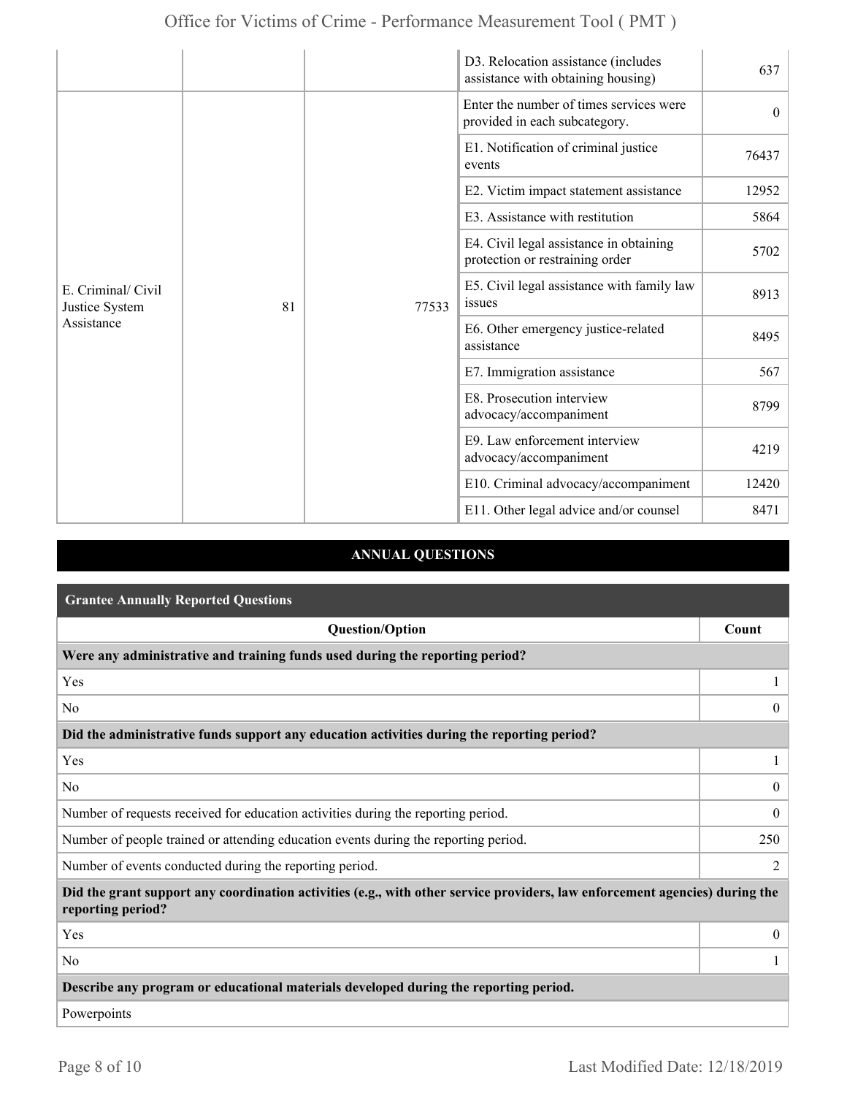|                                                    |    |       | D3. Relocation assistance (includes<br>assistance with obtaining housing)  | 637      |
|----------------------------------------------------|----|-------|----------------------------------------------------------------------------|----------|
| E. Criminal/ Civil<br>Justice System<br>Assistance |    | 77533 | Enter the number of times services were<br>provided in each subcategory.   | $\theta$ |
|                                                    |    |       | E1. Notification of criminal justice<br>events                             | 76437    |
|                                                    |    |       | E2. Victim impact statement assistance                                     | 12952    |
|                                                    |    |       | E3. Assistance with restitution                                            | 5864     |
|                                                    |    |       | E4. Civil legal assistance in obtaining<br>protection or restraining order | 5702     |
|                                                    | 81 |       | E5. Civil legal assistance with family law<br>issues                       | 8913     |
|                                                    |    |       | E6. Other emergency justice-related<br>assistance                          | 8495     |
|                                                    |    |       | E7. Immigration assistance                                                 | 567      |
|                                                    |    |       | E8. Prosecution interview<br>advocacy/accompaniment                        | 8799     |
|                                                    |    |       | E9. Law enforcement interview<br>advocacy/accompaniment                    | 4219     |
|                                                    |    |       | E10. Criminal advocacy/accompaniment                                       | 12420    |
|                                                    |    |       | E11. Other legal advice and/or counsel                                     | 8471     |

## **ANNUAL QUESTIONS**

| <b>Grantee Annually Reported Questions</b>                                                                                                       |                |
|--------------------------------------------------------------------------------------------------------------------------------------------------|----------------|
| <b>Question/Option</b>                                                                                                                           | Count          |
| Were any administrative and training funds used during the reporting period?                                                                     |                |
| Yes                                                                                                                                              |                |
| N <sub>0</sub>                                                                                                                                   | $\theta$       |
| Did the administrative funds support any education activities during the reporting period?                                                       |                |
| Yes                                                                                                                                              |                |
| N <sub>0</sub>                                                                                                                                   | $\theta$       |
| Number of requests received for education activities during the reporting period.                                                                | $\overline{0}$ |
| Number of people trained or attending education events during the reporting period.                                                              | 250            |
| Number of events conducted during the reporting period.                                                                                          | $\overline{2}$ |
| Did the grant support any coordination activities (e.g., with other service providers, law enforcement agencies) during the<br>reporting period? |                |
| Yes                                                                                                                                              | $\overline{0}$ |
| N <sub>0</sub>                                                                                                                                   |                |
| Describe any program or educational materials developed during the reporting period.                                                             |                |
| Powerpoints                                                                                                                                      |                |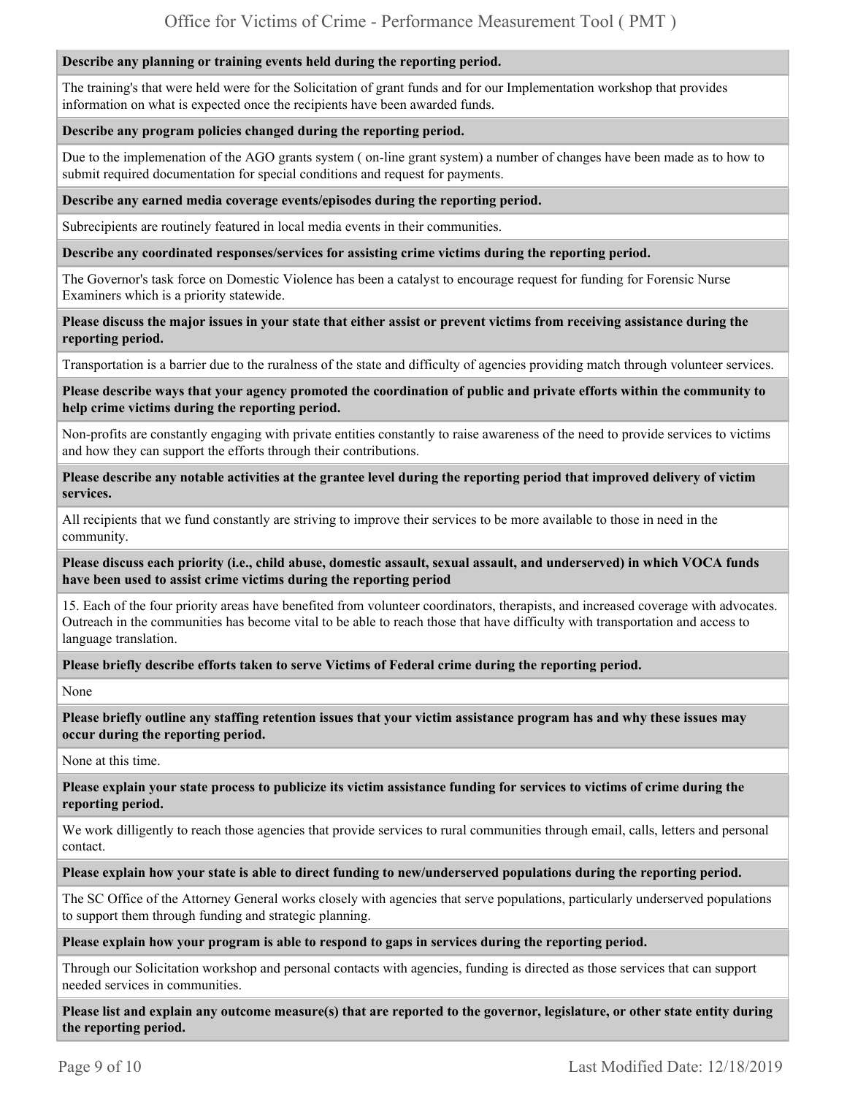## **Describe any planning or training events held during the reporting period.**

The training's that were held were for the Solicitation of grant funds and for our Implementation workshop that provides information on what is expected once the recipients have been awarded funds.

## **Describe any program policies changed during the reporting period.**

Due to the implemenation of the AGO grants system ( on-line grant system) a number of changes have been made as to how to submit required documentation for special conditions and request for payments.

#### **Describe any earned media coverage events/episodes during the reporting period.**

Subrecipients are routinely featured in local media events in their communities.

#### **Describe any coordinated responses/services for assisting crime victims during the reporting period.**

The Governor's task force on Domestic Violence has been a catalyst to encourage request for funding for Forensic Nurse Examiners which is a priority statewide.

#### **Please discuss the major issues in your state that either assist or prevent victims from receiving assistance during the reporting period.**

Transportation is a barrier due to the ruralness of the state and difficulty of agencies providing match through volunteer services.

#### **Please describe ways that your agency promoted the coordination of public and private efforts within the community to help crime victims during the reporting period.**

Non-profits are constantly engaging with private entities constantly to raise awareness of the need to provide services to victims and how they can support the efforts through their contributions.

**Please describe any notable activities at the grantee level during the reporting period that improved delivery of victim services.** 

All recipients that we fund constantly are striving to improve their services to be more available to those in need in the community.

**Please discuss each priority (i.e., child abuse, domestic assault, sexual assault, and underserved) in which VOCA funds have been used to assist crime victims during the reporting period** 

15. Each of the four priority areas have benefited from volunteer coordinators, therapists, and increased coverage with advocates. Outreach in the communities has become vital to be able to reach those that have difficulty with transportation and access to language translation.

## **Please briefly describe efforts taken to serve Victims of Federal crime during the reporting period.**

None

**Please briefly outline any staffing retention issues that your victim assistance program has and why these issues may occur during the reporting period.** 

None at this time.

**Please explain your state process to publicize its victim assistance funding for services to victims of crime during the reporting period.** 

We work dilligently to reach those agencies that provide services to rural communities through email, calls, letters and personal contact.

## **Please explain how your state is able to direct funding to new/underserved populations during the reporting period.**

The SC Office of the Attorney General works closely with agencies that serve populations, particularly underserved populations to support them through funding and strategic planning.

**Please explain how your program is able to respond to gaps in services during the reporting period.** 

Through our Solicitation workshop and personal contacts with agencies, funding is directed as those services that can support needed services in communities.

**Please list and explain any outcome measure(s) that are reported to the governor, legislature, or other state entity during the reporting period.**